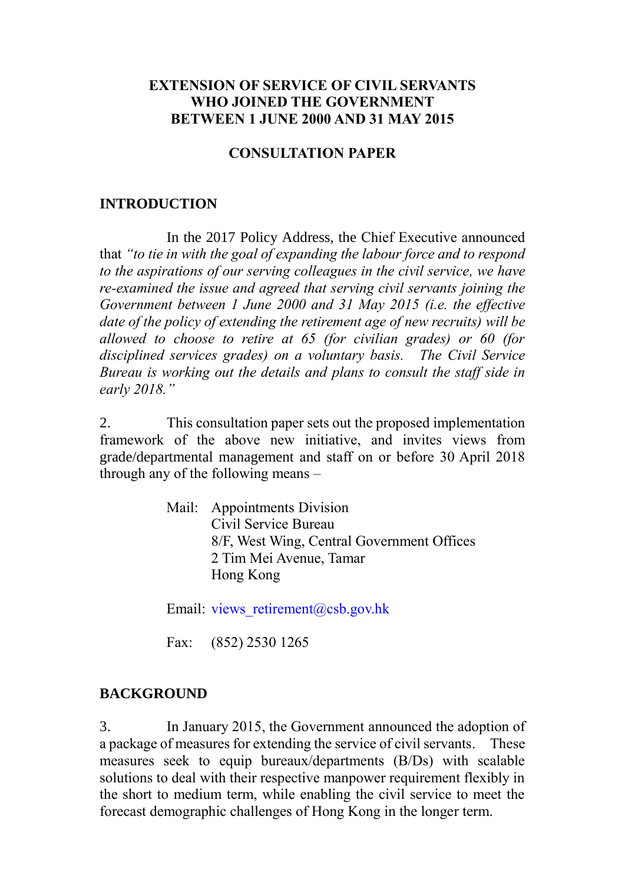### **EXTENSION OF SERVICE OF CIVIL SERVANTS WHO JOINED THE GOVERNMENT BETWEEN 1 JUNE 2000 AND 31 MAY 2015**

#### **CONSULTATION PAPER**

#### **INTRODUCTION**

In the 2017 Policy Address, the Chief Executive announced that *"to tie in with the goal of expanding the labour force and to respond to the aspirations of our serving colleagues in the civil service, we have re-examined the issue and agreed that serving civil servants joining the Government between 1 June 2000 and 31 May 2015 (i.e. the effective date of the policy of extending the retirement age of new recruits) will be allowed to choose to retire at 65 (for civilian grades) or 60 (for disciplined services grades) on a voluntary basis. The Civil Service Bureau is working out the details and plans to consult the staff side in early 2018."* 

2. This consultation paper sets out the proposed implementation framework of the above new initiative, and invites views from grade/departmental management and staff on or before 30 April 2018 through any of the following means –

> Mail: Appointments Division Civil Service Bureau 8/F, West Wing, Central Government Offices 2 Tim Mei Avenue, Tamar Hong Kong

Email: views retirement@csb.gov.hk

Fax: (852) 2530 1265

### **BACKGROUND**

3. In January 2015, the Government announced the adoption of a package of measures for extending the service of civil servants. These measures seek to equip bureaux/departments (B/Ds) with scalable solutions to deal with their respective manpower requirement flexibly in the short to medium term, while enabling the civil service to meet the forecast demographic challenges of Hong Kong in the longer term.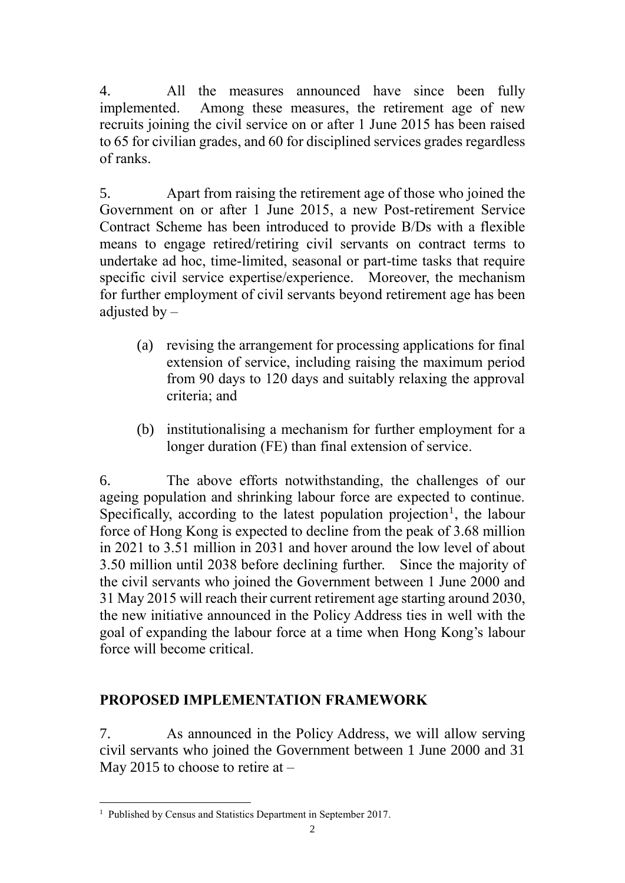4. All the measures announced have since been fully implemented. Among these measures, the retirement age of new recruits joining the civil service on or after 1 June 2015 has been raised to 65 for civilian grades, and 60 for disciplined services grades regardless of ranks.

5. Apart from raising the retirement age of those who joined the Government on or after 1 June 2015, a new Post-retirement Service Contract Scheme has been introduced to provide B/Ds with a flexible means to engage retired/retiring civil servants on contract terms to undertake ad hoc, time-limited, seasonal or part-time tasks that require specific civil service expertise/experience. Moreover, the mechanism for further employment of civil servants beyond retirement age has been adjusted by  $-$ 

- (a) revising the arrangement for processing applications for final extension of service, including raising the maximum period from 90 days to 120 days and suitably relaxing the approval criteria; and
- (b) institutionalising a mechanism for further employment for a longer duration (FE) than final extension of service.

6. The above efforts notwithstanding, the challenges of our ageing population and shrinking labour force are expected to continue. Specifically, according to the latest population projection<sup>1</sup>, the labour force of Hong Kong is expected to decline from the peak of 3.68 million in 2021 to 3.51 million in 2031 and hover around the low level of about 3.50 million until 2038 before declining further. Since the majority of the civil servants who joined the Government between 1 June 2000 and 31 May 2015 will reach their current retirement age starting around 2030, the new initiative announced in the Policy Address ties in well with the goal of expanding the labour force at a time when Hong Kong's labour force will become critical.

## **PROPOSED IMPLEMENTATION FRAMEWORK**

7. As announced in the Policy Address, we will allow serving civil servants who joined the Government between 1 June 2000 and 31 May 2015 to choose to retire at  $-$ 

1

<sup>&</sup>lt;sup>1</sup> Published by Census and Statistics Department in September 2017.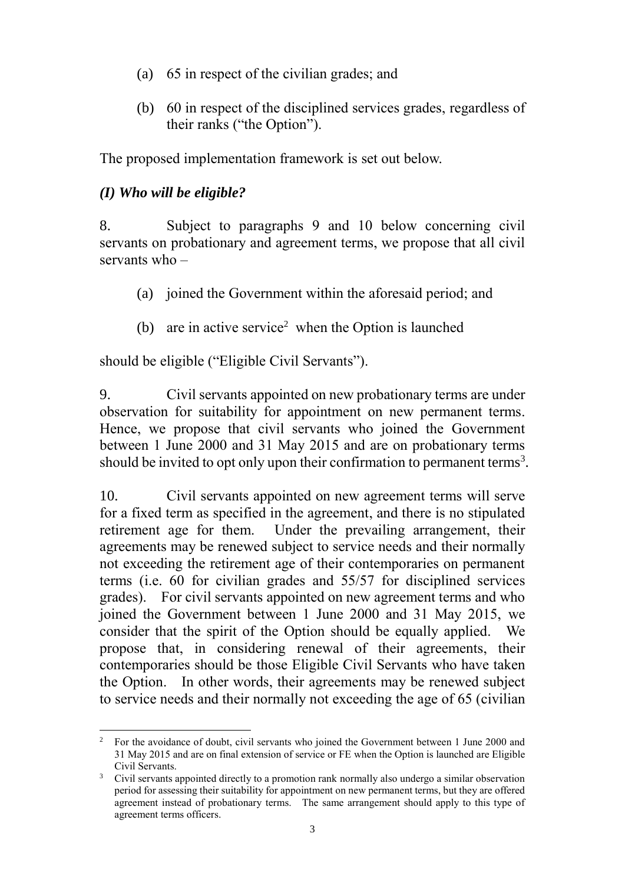- (a) 65 in respect of the civilian grades; and
- (b) 60 in respect of the disciplined services grades, regardless of their ranks ("the Option").

The proposed implementation framework is set out below.

### *(I) Who will be eligible?*

8. Subject to paragraphs 9 and 10 below concerning civil servants on probationary and agreement terms, we propose that all civil servants who –

- (a) joined the Government within the aforesaid period; and
- (b) are in active service<sup>2</sup> when the Option is launched

should be eligible ("Eligible Civil Servants").

9. Civil servants appointed on new probationary terms are under observation for suitability for appointment on new permanent terms. Hence, we propose that civil servants who joined the Government between 1 June 2000 and 31 May 2015 and are on probationary terms should be invited to opt only upon their confirmation to permanent terms<sup>3</sup>.

10. Civil servants appointed on new agreement terms will serve for a fixed term as specified in the agreement, and there is no stipulated retirement age for them. Under the prevailing arrangement, their agreements may be renewed subject to service needs and their normally not exceeding the retirement age of their contemporaries on permanent terms (i.e. 60 for civilian grades and 55/57 for disciplined services grades). For civil servants appointed on new agreement terms and who joined the Government between 1 June 2000 and 31 May 2015, we consider that the spirit of the Option should be equally applied. We propose that, in considering renewal of their agreements, their contemporaries should be those Eligible Civil Servants who have taken the Option. In other words, their agreements may be renewed subject to service needs and their normally not exceeding the age of 65 (civilian

<sup>&</sup>lt;u>.</u> <sup>2</sup> For the avoidance of doubt, civil servants who joined the Government between 1 June 2000 and 31 May 2015 and are on final extension of service or FE when the Option is launched are Eligible Civil Servants.

<sup>&</sup>lt;sup>3</sup> Civil servants appointed directly to a promotion rank normally also undergo a similar observation period for assessing their suitability for appointment on new permanent terms, but they are offered agreement instead of probationary terms. The same arrangement should apply to this type of agreement terms officers.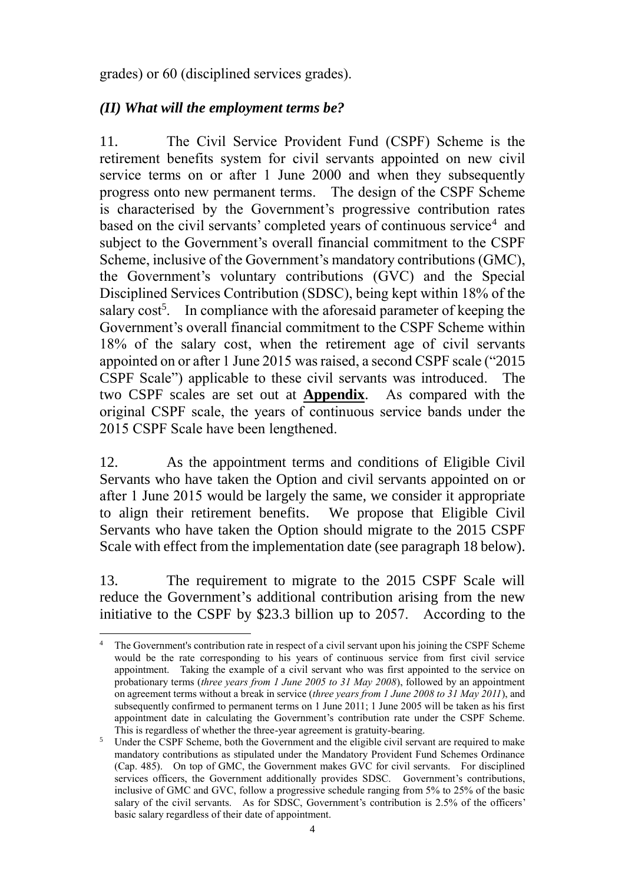grades) or 60 (disciplined services grades).

# *(II) What will the employment terms be?*

11. The Civil Service Provident Fund (CSPF) Scheme is the retirement benefits system for civil servants appointed on new civil service terms on or after 1 June 2000 and when they subsequently progress onto new permanent terms. The design of the CSPF Scheme is characterised by the Government's progressive contribution rates based on the civil servants' completed years of continuous service<sup>4</sup> and subject to the Government's overall financial commitment to the CSPF Scheme, inclusive of the Government's mandatory contributions (GMC), the Government's voluntary contributions (GVC) and the Special Disciplined Services Contribution (SDSC), being kept within 18% of the salary cost<sup>5</sup>. In compliance with the aforesaid parameter of keeping the Government's overall financial commitment to the CSPF Scheme within 18% of the salary cost, when the retirement age of civil servants appointed on or after 1 June 2015 was raised, a second CSPF scale ("2015 CSPF Scale") applicable to these civil servants was introduced. The two CSPF scales are set out at **Appendix**. As compared with the original CSPF scale, the years of continuous service bands under the 2015 CSPF Scale have been lengthened.

12. As the appointment terms and conditions of Eligible Civil Servants who have taken the Option and civil servants appointed on or after 1 June 2015 would be largely the same, we consider it appropriate to align their retirement benefits. We propose that Eligible Civil Servants who have taken the Option should migrate to the 2015 CSPF Scale with effect from the implementation date (see paragraph 18 below).

13. The requirement to migrate to the 2015 CSPF Scale will reduce the Government's additional contribution arising from the new initiative to the CSPF by \$23.3 billion up to 2057. According to the

<sup>1</sup> The Government's contribution rate in respect of a civil servant upon his joining the CSPF Scheme would be the rate corresponding to his years of continuous service from first civil service appointment. Taking the example of a civil servant who was first appointed to the service on probationary terms (*three years from 1 June 2005 to 31 May 2008*), followed by an appointment on agreement terms without a break in service (*three years from 1 June 2008 to 31 May 2011*), and subsequently confirmed to permanent terms on 1 June 2011; 1 June 2005 will be taken as his first appointment date in calculating the Government's contribution rate under the CSPF Scheme. This is regardless of whether the three-year agreement is gratuity-bearing.

<sup>&</sup>lt;sup>5</sup> Under the CSPF Scheme, both the Government and the eligible civil servant are required to make mandatory contributions as stipulated under the Mandatory Provident Fund Schemes Ordinance (Cap. 485). On top of GMC, the Government makes GVC for civil servants. For disciplined services officers, the Government additionally provides SDSC. Government's contributions, inclusive of GMC and GVC, follow a progressive schedule ranging from 5% to 25% of the basic salary of the civil servants. As for SDSC, Government's contribution is 2.5% of the officers' basic salary regardless of their date of appointment.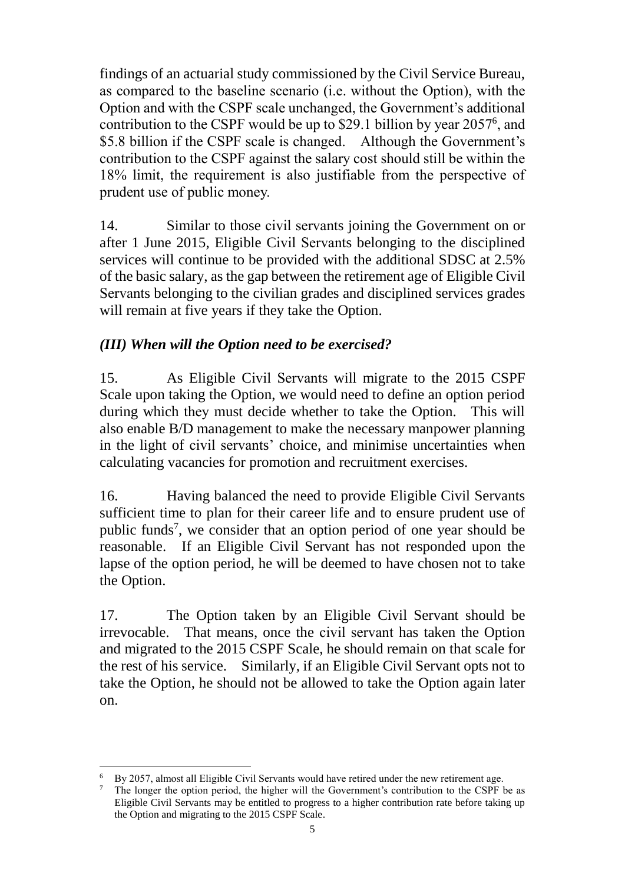findings of an actuarial study commissioned by the Civil Service Bureau, as compared to the baseline scenario (i.e. without the Option), with the Option and with the CSPF scale unchanged, the Government's additional contribution to the CSPF would be up to \$29.1 billion by year 2057 6 , and \$5.8 billion if the CSPF scale is changed. Although the Government's contribution to the CSPF against the salary cost should still be within the 18% limit, the requirement is also justifiable from the perspective of prudent use of public money.

14. Similar to those civil servants joining the Government on or after 1 June 2015, Eligible Civil Servants belonging to the disciplined services will continue to be provided with the additional SDSC at 2.5% of the basic salary, as the gap between the retirement age of Eligible Civil Servants belonging to the civilian grades and disciplined services grades will remain at five years if they take the Option.

# *(III) When will the Option need to be exercised?*

15. As Eligible Civil Servants will migrate to the 2015 CSPF Scale upon taking the Option, we would need to define an option period during which they must decide whether to take the Option. This will also enable B/D management to make the necessary manpower planning in the light of civil servants' choice, and minimise uncertainties when calculating vacancies for promotion and recruitment exercises.

16. Having balanced the need to provide Eligible Civil Servants sufficient time to plan for their career life and to ensure prudent use of public funds<sup>7</sup>, we consider that an option period of one year should be reasonable. If an Eligible Civil Servant has not responded upon the lapse of the option period, he will be deemed to have chosen not to take the Option.

17. The Option taken by an Eligible Civil Servant should be irrevocable. That means, once the civil servant has taken the Option and migrated to the 2015 CSPF Scale, he should remain on that scale for the rest of his service. Similarly, if an Eligible Civil Servant opts not to take the Option, he should not be allowed to take the Option again later on.

<sup>&</sup>lt;u>.</u> <sup>6</sup> By 2057, almost all Eligible Civil Servants would have retired under the new retirement age.<br><sup>7</sup> The longer the option period, the higher will the Government's contribution to the CSPF is

<sup>7</sup> The longer the option period, the higher will the Government's contribution to the CSPF be as Eligible Civil Servants may be entitled to progress to a higher contribution rate before taking up the Option and migrating to the 2015 CSPF Scale.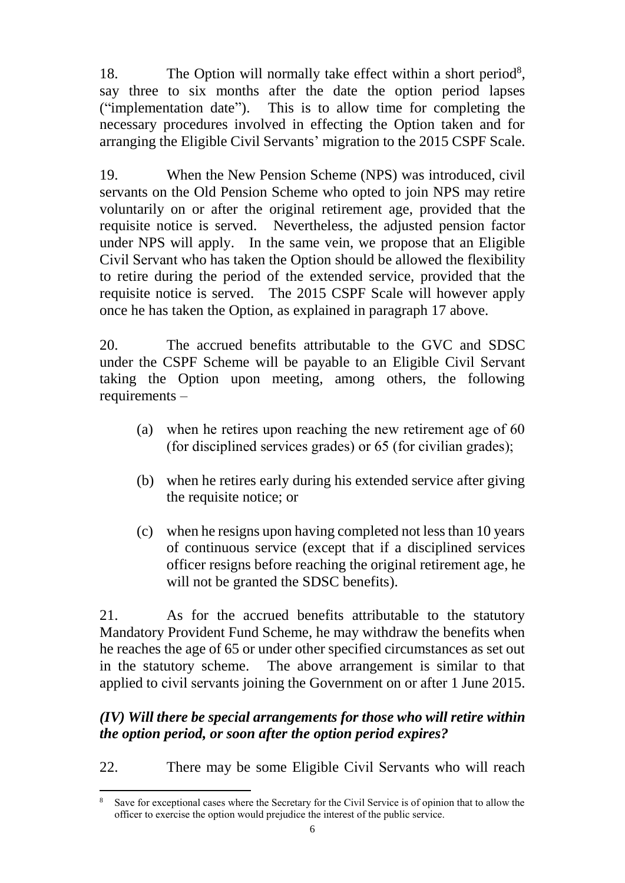18. The Option will normally take effect within a short period<sup>8</sup>, say three to six months after the date the option period lapses ("implementation date"). This is to allow time for completing the necessary procedures involved in effecting the Option taken and for arranging the Eligible Civil Servants' migration to the 2015 CSPF Scale.

19. When the New Pension Scheme (NPS) was introduced, civil servants on the Old Pension Scheme who opted to join NPS may retire voluntarily on or after the original retirement age, provided that the requisite notice is served. Nevertheless, the adjusted pension factor under NPS will apply. In the same vein, we propose that an Eligible Civil Servant who has taken the Option should be allowed the flexibility to retire during the period of the extended service, provided that the requisite notice is served. The 2015 CSPF Scale will however apply once he has taken the Option, as explained in paragraph 17 above.

20. The accrued benefits attributable to the GVC and SDSC under the CSPF Scheme will be payable to an Eligible Civil Servant taking the Option upon meeting, among others, the following requirements –

- (a) when he retires upon reaching the new retirement age of 60 (for disciplined services grades) or 65 (for civilian grades);
- (b) when he retires early during his extended service after giving the requisite notice; or
- (c) when he resigns upon having completed not less than 10 years of continuous service (except that if a disciplined services officer resigns before reaching the original retirement age, he will not be granted the SDSC benefits).

21. As for the accrued benefits attributable to the statutory Mandatory Provident Fund Scheme, he may withdraw the benefits when he reaches the age of 65 or under other specified circumstances as set out in the statutory scheme. The above arrangement is similar to that applied to civil servants joining the Government on or after 1 June 2015.

## *(IV) Will there be special arrangements for those who will retire within the option period, or soon after the option period expires?*

22. There may be some Eligible Civil Servants who will reach

<sup>1</sup> Save for exceptional cases where the Secretary for the Civil Service is of opinion that to allow the officer to exercise the option would prejudice the interest of the public service.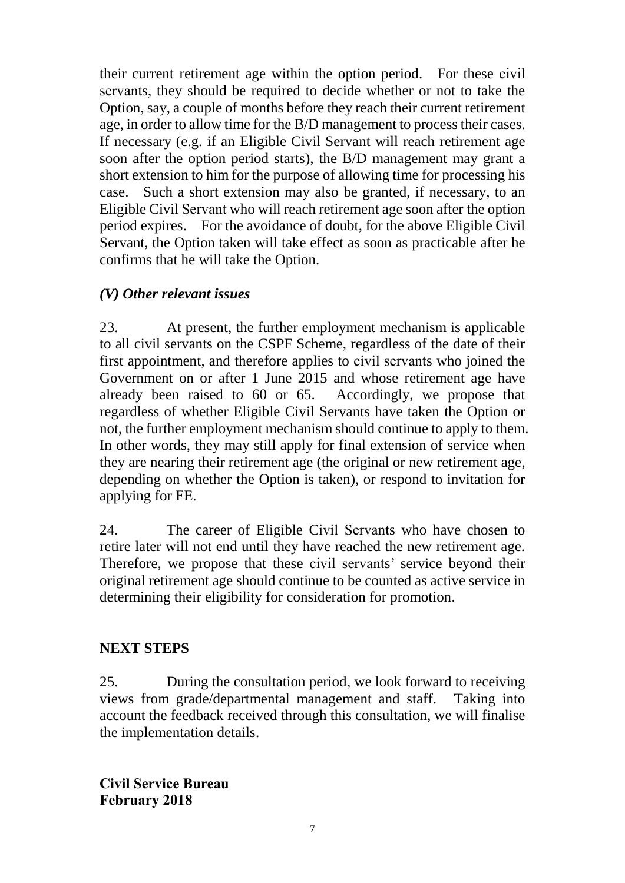their current retirement age within the option period. For these civil servants, they should be required to decide whether or not to take the Option, say, a couple of months before they reach their current retirement age, in order to allow time for the B/D management to process their cases. If necessary (e.g. if an Eligible Civil Servant will reach retirement age soon after the option period starts), the B/D management may grant a short extension to him for the purpose of allowing time for processing his case. Such a short extension may also be granted, if necessary, to an Eligible Civil Servant who will reach retirement age soon after the option period expires. For the avoidance of doubt, for the above Eligible Civil Servant, the Option taken will take effect as soon as practicable after he confirms that he will take the Option.

# *(V) Other relevant issues*

23. At present, the further employment mechanism is applicable to all civil servants on the CSPF Scheme, regardless of the date of their first appointment, and therefore applies to civil servants who joined the Government on or after 1 June 2015 and whose retirement age have already been raised to 60 or 65. Accordingly, we propose that regardless of whether Eligible Civil Servants have taken the Option or not, the further employment mechanism should continue to apply to them. In other words, they may still apply for final extension of service when they are nearing their retirement age (the original or new retirement age, depending on whether the Option is taken), or respond to invitation for applying for FE.

24. The career of Eligible Civil Servants who have chosen to retire later will not end until they have reached the new retirement age. Therefore, we propose that these civil servants' service beyond their original retirement age should continue to be counted as active service in determining their eligibility for consideration for promotion.

## **NEXT STEPS**

25. During the consultation period, we look forward to receiving views from grade/departmental management and staff. Taking into account the feedback received through this consultation, we will finalise the implementation details.

**Civil Service Bureau February 2018**